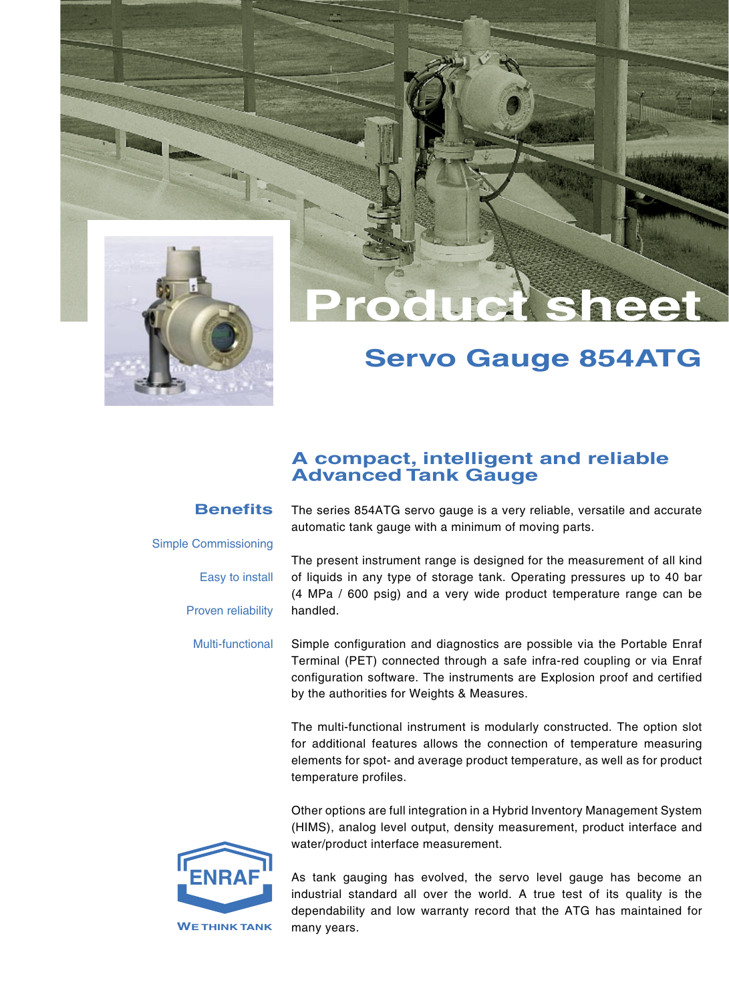

## **Product sheet**

## **Servo Gauge 854ATG**

## **A compact, intelligent and reliable Advanced Tank Gauge** The series 854ATG servo gauge is a very reliable, versatile and accurate automatic tank gauge with a minimum of moving parts. The present instrument range is designed for the measurement of all kind of liquids in any type of storage tank. Operating pressures up to 40 bar (4 MPa / 600 psig) and a very wide product temperature range can be handled. Simple configuration and diagnostics are possible via the Portable Enraf Terminal (PET) connected through a safe infra-red coupling or via Enraf configuration software. The instruments are Explosion proof and certified by the authorities for Weights & Measures. The multi-functional instrument is modularly constructed. The option slot for additional features allows the connection of temperature measuring elements for spot- and average product temperature, as well as for product temperature profiles. **Benefits** Simple Commissioning Easy to install Proven reliability Multi-functional

Other options are full integration in a Hybrid Inventory Management System (HIMS), analog level output, density measurement, product interface and water/product interface measurement.



As tank gauging has evolved, the servo level gauge has become an industrial standard all over the world. A true test of its quality is the dependability and low warranty record that the ATG has maintained for many years.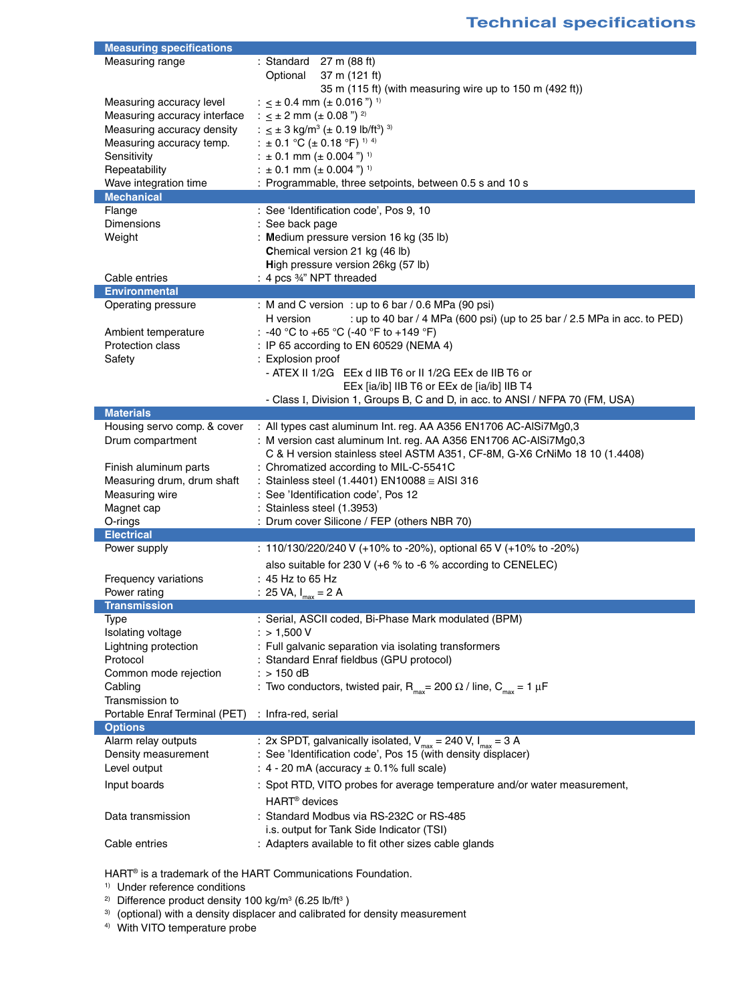| <b>Measuring specifications</b> |                                                                                         |
|---------------------------------|-----------------------------------------------------------------------------------------|
| Measuring range                 | 27 m (88 ft)<br>: Standard                                                              |
|                                 | 37 m (121 ft)<br>Optional                                                               |
|                                 | 35 m (115 ft) (with measuring wire up to 150 m (492 ft))                                |
| Measuring accuracy level        | : $\leq \pm 0.4$ mm ( $\pm 0.016$ ") <sup>1)</sup>                                      |
|                                 | : $\leq \pm 2$ mm ( $\pm$ 0.08 ") <sup>2)</sup>                                         |
| Measuring accuracy interface    |                                                                                         |
| Measuring accuracy density      | : $\leq \pm 3$ kg/m <sup>3</sup> ( $\pm 0.19$ lb/ft <sup>3</sup> ) <sup>3)</sup>        |
| Measuring accuracy temp.        | : $\pm$ 0.1 °C ( $\pm$ 0.18 °F) <sup>1)4)</sup>                                         |
| Sensitivity                     | : $\pm$ 0.1 mm ( $\pm$ 0.004 ") <sup>1)</sup>                                           |
| Repeatability                   | : $\pm$ 0.1 mm ( $\pm$ 0.004 ") <sup>1)</sup>                                           |
| Wave integration time           | : Programmable, three setpoints, between 0.5 s and 10 s                                 |
| <b>Mechanical</b>               |                                                                                         |
| Flange                          | : See 'Identification code', Pos 9, 10                                                  |
| <b>Dimensions</b>               | : See back page                                                                         |
|                                 |                                                                                         |
| Weight                          | : Medium pressure version 16 kg (35 lb)                                                 |
|                                 | Chemical version 21 kg (46 lb)                                                          |
|                                 | High pressure version 26kg (57 lb)                                                      |
| Cable entries                   | : 4 pcs 3/4" NPT threaded                                                               |
| <b>Environmental</b>            |                                                                                         |
| Operating pressure              | : M and C version : up to 6 bar / 0.6 MPa (90 psi)                                      |
|                                 | H version<br>: up to 40 bar / 4 MPa (600 psi) (up to 25 bar / 2.5 MPa in acc. to PED)   |
| Ambient temperature             | : -40 °C to +65 °C (-40 °F to +149 °F)                                                  |
| <b>Protection class</b>         | : IP 65 according to EN 60529 (NEMA 4)                                                  |
|                                 | : Explosion proof                                                                       |
| Safety                          |                                                                                         |
|                                 | - ATEX II 1/2G EEx d IIB T6 or II 1/2G EEx de IIB T6 or                                 |
|                                 | EEx [ia/ib] IIB T6 or EEx de [ia/ib] IIB T4                                             |
|                                 | - Class I, Division 1, Groups B, C and D, in acc. to ANSI / NFPA 70 (FM, USA)           |
| <b>Materials</b>                |                                                                                         |
| Housing servo comp. & cover     | : All types cast aluminum Int. reg. AA A356 EN1706 AC-AISi7Mg0,3                        |
| Drum compartment                | : M version cast aluminum Int. reg. AA A356 EN1706 AC-AISi7Mg0,3                        |
|                                 | C & H version stainless steel ASTM A351, CF-8M, G-X6 CrNiMo 18 10 (1.4408)              |
| Finish aluminum parts           | : Chromatized according to MIL-C-5541C                                                  |
| Measuring drum, drum shaft      | : Stainless steel (1.4401) EN10088 ≅ AISI 316                                           |
|                                 |                                                                                         |
| Measuring wire                  | : See 'Identification code', Pos 12                                                     |
| Magnet cap                      | : Stainless steel (1.3953)                                                              |
| O-rings                         | : Drum cover Silicone / FEP (others NBR 70)                                             |
| <b>Electrical</b>               |                                                                                         |
| Power supply                    | : 110/130/220/240 V (+10% to -20%), optional 65 V (+10% to -20%)                        |
|                                 | also suitable for 230 V (+6 % to -6 % according to CENELEC)                             |
| Frequency variations            | : $45$ Hz to 65 Hz                                                                      |
| Power rating                    | : 25 VA, $I_{max} = 2$ A                                                                |
| <b>Transmission</b>             |                                                                                         |
| <b>Type</b>                     | : Serial, ASCII coded, Bi-Phase Mark modulated (BPM)                                    |
| Isolating voltage               | $:$ > 1,500 V                                                                           |
|                                 |                                                                                         |
| Lightning protection            | : Full galvanic separation via isolating transformers                                   |
| Protocol                        | : Standard Enraf fieldbus (GPU protocol)                                                |
| Common mode rejection           | $:$ > 150 dB                                                                            |
| Cabling                         | : Two conductors, twisted pair, $R_{max} = 200 \Omega / \text{line}, C_{max} = 1 \mu F$ |
| Transmission to                 |                                                                                         |
| Portable Enraf Terminal (PET)   | : Infra-red, serial                                                                     |
| <b>Options</b>                  |                                                                                         |
| Alarm relay outputs             | : 2x SPDT, galvanically isolated, $V_{max}$ = 240 V, $I_{max}$ = 3 A                    |
| Density measurement             | : See 'Identification code', Pos 15 (with density displacer)                            |
| Level output                    | : $4 - 20$ mA (accuracy $\pm$ 0.1% full scale)                                          |
|                                 |                                                                                         |
| Input boards                    | : Spot RTD, VITO probes for average temperature and/or water measurement,               |
|                                 | HART <sup>®</sup> devices                                                               |
| Data transmission               | : Standard Modbus via RS-232C or RS-485                                                 |
|                                 | i.s. output for Tank Side Indicator (TSI)                                               |
| Cable entries                   | : Adapters available to fit other sizes cable glands                                    |
|                                 |                                                                                         |
|                                 |                                                                                         |

HART® is a trademark of the HART Communications Foundation.

1) Under reference conditions

<sup>2)</sup> Difference product density 100 kg/m $3$  (6.25 lb/ft $3$  )

 $3)$  (optional) with a density displacer and calibrated for density measurement

4) With VITO temperature probe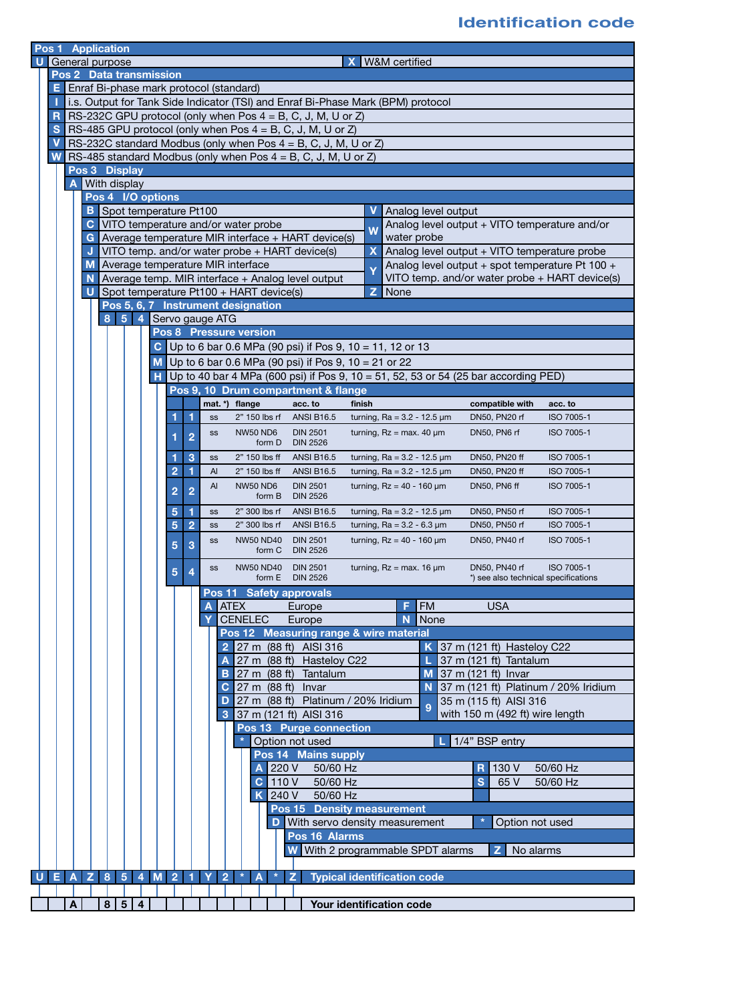## **Identification code**

| <b>Pos 1 Application</b>                                                                                  |                                                                                     |  |
|-----------------------------------------------------------------------------------------------------------|-------------------------------------------------------------------------------------|--|
| <b>U</b> General purpose                                                                                  | X W&M certified                                                                     |  |
| <b>Pos 2 Data transmission</b>                                                                            |                                                                                     |  |
| <b>E</b> Enraf Bi-phase mark protocol (standard)                                                          |                                                                                     |  |
| i.s. Output for Tank Side Indicator (TSI) and Enraf Bi-Phase Mark (BPM) protocol                          |                                                                                     |  |
| RS-232C GPU protocol (only when Pos $4 = B$ , C, J, M, U or Z)<br>R                                       |                                                                                     |  |
| RS-485 GPU protocol (only when Pos $4 = B$ , C, J, M, U or Z)<br>s                                        |                                                                                     |  |
| RS-232C standard Modbus (only when Pos 4 = B, C, J, M, U or Z)<br>V                                       |                                                                                     |  |
| RS-485 standard Modbus (only when Pos 4 = B, C, J, M, U or Z)<br>W                                        |                                                                                     |  |
| Pos 3 Display                                                                                             |                                                                                     |  |
| With display<br>Α                                                                                         |                                                                                     |  |
| Pos 4 I/O options                                                                                         |                                                                                     |  |
| <b>B</b> Spot temperature Pt100<br>V<br>Analog level output                                               |                                                                                     |  |
| VITO temperature and/or water probe<br>С                                                                  | Analog level output + VITO temperature and/or                                       |  |
| Average temperature MIR interface + HART device(s)<br>G                                                   | W<br>water probe                                                                    |  |
| VITO temp. and/or water probe + HART device(s)<br>J                                                       | X<br>Analog level output + VITO temperature probe                                   |  |
| M Average temperature MIR interface                                                                       | Analog level output + spot temperature Pt 100 +                                     |  |
| N                                                                                                         | Ÿ<br>VITO temp. and/or water probe + HART device(s)                                 |  |
| Average temp. MIR interface + Analog level output                                                         | $\mathsf{z}$                                                                        |  |
| Spot temperature Pt100 + HART device(s)<br>U<br>None                                                      |                                                                                     |  |
| Pos 5, 6, 7 Instrument designation                                                                        |                                                                                     |  |
| $8 \quad 5$<br>4 Servo gauge ATG                                                                          |                                                                                     |  |
| <b>Pos 8 Pressure version</b>                                                                             |                                                                                     |  |
| Up to 6 bar 0.6 MPa (90 psi) if Pos 9, 10 = 11, 12 or 13<br>С                                             |                                                                                     |  |
| Up to 6 bar 0.6 MPa (90 psi) if Pos 9, 10 = 21 or 22<br>М                                                 |                                                                                     |  |
| н                                                                                                         | Up to 40 bar 4 MPa (600 psi) if Pos 9, 10 = 51, 52, 53 or 54 (25 bar according PED) |  |
| Pos 9, 10 Drum compartment & flange                                                                       |                                                                                     |  |
| mat. *) flange<br>acc. to                                                                                 | compatible with<br>finish<br>acc. to                                                |  |
| 1<br>2" 150 lbs rf<br><b>ANSI B16.5</b><br>1<br>SS                                                        | turning, Ra = $3.2 - 12.5$ µm<br>DN50, PN20 rf<br>ISO 7005-1                        |  |
| <b>NW50 ND6</b><br><b>DIN 2501</b>                                                                        | turning, $Rz = max. 40 \mu m$<br>DN50, PN6 rf<br>ISO 7005-1                         |  |
| SS<br>$\overline{2}$<br>1<br>form D<br><b>DIN 2526</b>                                                    |                                                                                     |  |
| 3<br>2" 150 lbs ff<br>1<br><b>ANSI B16.5</b><br>SS                                                        | ISO 7005-1<br>turning, $Ra = 3.2 - 12.5 \mu m$<br>DN50, PN20 ff                     |  |
| $\overline{2}$<br>1<br>Al<br>2" 150 lbs ff<br><b>ANSI B16.5</b>                                           | turning, $Ra = 3.2 - 12.5 \mu m$<br>DN50, PN20 ff<br>ISO 7005-1                     |  |
|                                                                                                           |                                                                                     |  |
| Al<br><b>NW50 ND6</b><br><b>DIN 2501</b><br>$\overline{2}$<br>$\overline{2}$<br><b>DIN 2526</b><br>form B | turning, $Rz = 40 - 160 \mu m$<br>DN50, PN6 ff<br>ISO 7005-1                        |  |
|                                                                                                           |                                                                                     |  |
| 5<br><b>ANSI B16.5</b><br>1<br>2" 300 lbs rf<br>SS                                                        | turning, Ra = $3.2 - 12.5$ µm<br>DN50, PN50 rf<br>ISO 7005-1                        |  |
| $\overline{2}$<br>5<br>2" 300 lbs rf<br><b>ANSI B16.5</b><br>SS                                           | turning, $Ra = 3.2 - 6.3 \mu m$<br>DN50, PN50 rf<br>ISO 7005-1                      |  |
| <b>NW50 ND40</b><br><b>DIN 2501</b><br>SS<br>5<br>3<br><b>DIN 2526</b><br>form C                          | turning, $Rz = 40 - 160 \mu m$<br>DN50, PN40 rf<br>ISO 7005-1                       |  |
| NW50 ND40<br><b>DIN 2501</b><br>SS<br>5<br>4                                                              | turning, $Rz = max. 16 \mu m$<br>ISO 7005-1<br>DN50, PN40 rf                        |  |
| form $E$ DIN 2526                                                                                         | *) see also technical specifications                                                |  |
| Pos 11 Safety approvals                                                                                   |                                                                                     |  |
| A <b>ATEX</b><br>Europe                                                                                   | <b>FM</b><br>F<br><b>USA</b>                                                        |  |
| <b>CENELEC</b><br>Y<br>Europe                                                                             | N<br>None                                                                           |  |
| Pos 12 Measuring range & wire material                                                                    |                                                                                     |  |
| 2 27 m (88 ft) AISI 316                                                                                   | $K$ 37 m (121 ft) Hasteloy C22                                                      |  |
| 27 m (88 ft) Hasteloy C22<br>Α                                                                            | $\lfloor$ 37 m (121 ft) Tantalum                                                    |  |
| 27 m (88 ft) Tantalum<br>в                                                                                | M 37 m (121 ft) Invar                                                               |  |
| $C$ 27 m (88 ft)<br>Invar                                                                                 | N 37 m (121 ft) Platinum / 20% Iridium                                              |  |
| 27 m (88 ft) Platinum / 20% Iridium<br>D                                                                  | 35 m (115 ft) AISI 316                                                              |  |
| 3 37 m (121 ft) AISI 316                                                                                  | $\overline{9}$<br>with 150 m (492 ft) wire length                                   |  |
| Pos 13 Purge connection                                                                                   |                                                                                     |  |
| Option not used                                                                                           | $\lfloor 1/4 \rceil$ BSP entry                                                      |  |
| Pos 14 Mains supply                                                                                       |                                                                                     |  |
| $A$ 220 V                                                                                                 | 50/60 Hz<br><b>R</b> 130 V<br>50/60 Hz                                              |  |
| $C$  110 $V$                                                                                              | 50/60 Hz<br>S<br>50/60 Hz<br>65 V                                                   |  |
| $K$ 240 V                                                                                                 |                                                                                     |  |
| 50/60 Hz<br>Pos 15 Density measurement                                                                    |                                                                                     |  |
|                                                                                                           |                                                                                     |  |
| D With servo density measurement<br>Option not used                                                       |                                                                                     |  |
| Pos 16 Alarms                                                                                             |                                                                                     |  |
| W                                                                                                         | With 2 programmable SPDT alarms<br>$\mathsf{Z}$ 1<br>No alarms                      |  |
|                                                                                                           |                                                                                     |  |
| UEA<br> Z <br>8 <sub>5</sub><br>$4$ M 2 1<br>$\overline{2}$<br>$\star$<br>z<br>Y<br>A                     | <b>Typical identification code</b>                                                  |  |
|                                                                                                           |                                                                                     |  |
| $\mathbf{A}$<br>8 5 4                                                                                     | Your identification code                                                            |  |